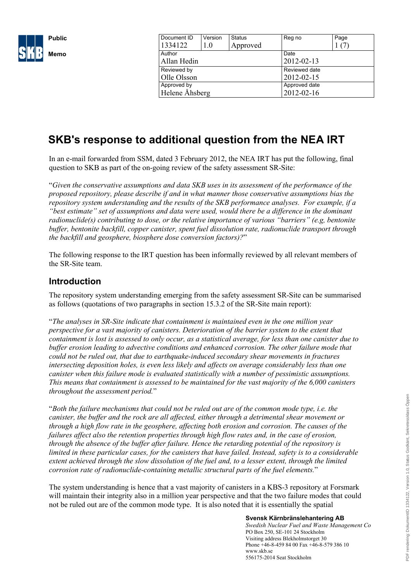

| Document ID    | Version | <b>Status</b> | Reg no     | Page          |  |  |  |
|----------------|---------|---------------|------------|---------------|--|--|--|
| 1334122        | 1.0     | Approved      |            |               |  |  |  |
| Author         |         |               | Date       |               |  |  |  |
| Allan Hedin    |         |               | 2012-02-13 |               |  |  |  |
| Reviewed by    |         |               |            | Reviewed date |  |  |  |
| Olle Olsson    |         |               | 2012-02-15 |               |  |  |  |
| Approved by    |         |               |            | Approved date |  |  |  |
| Helene Åhsberg |         |               |            | 2012-02-16    |  |  |  |

# **SKB's response to additional question from the NEA IRT**

In an e-mail forwarded from SSM, dated 3 February 2012, the NEA IRT has put the following, final question to SKB as part of the on-going review of the safety assessment SR-Site:

"*Given the conservative assumptions and data SKB uses in its assessment of the performance of the proposed repository, please describe if and in what manner those conservative assumptions bias the repository system understanding and the results of the SKB performance analyses. For example, if a "best estimate" set of assumptions and data were used, would there be a difference in the dominant radionuclide(s) contributing to dose, or the relative importance of various "barriers" (e.g, bentonite buffer, bentonite backfill, copper canister, spent fuel dissolution rate, radionuclide transport through the backfill and geosphere, biosphere dose conversion factors)?*"

The following response to the IRT question has been informally reviewed by all relevant members of the SR-Site team.

### **Introduction**

The repository system understanding emerging from the safety assessment SR-Site can be summarised as follows (quotations of two paragraphs in section 15.3.2 of the SR-Site main report):

"*The analyses in SR-Site indicate that containment is maintained even in the one million year perspective for a vast majority of canisters. Deterioration of the barrier system to the extent that containment is lost is assessed to only occur, as a statistical average, for less than one canister due to buffer erosion leading to advective conditions and enhanced corrosion. The other failure mode that could not be ruled out, that due to earthquake-induced secondary shear movements in fractures intersecting deposition holes, is even less likely and affects on average considerably less than one canister when this failure mode is evaluated statistically with a number of pessimistic assumptions. This means that containment is assessed to be maintained for the vast majority of the 6,000 canisters throughout the assessment period.*"

"*Both the failure mechanisms that could not be ruled out are of the common mode type, i.e. the canister, the buffer and the rock are all affected, either through a detrimental shear movement or through a high flow rate in the geosphere, affecting both erosion and corrosion. The causes of the failures affect also the retention properties through high flow rates and, in the case of erosion, through the absence of the buffer after failure. Hence the retarding potential of the repository is limited in these particular cases, for the canisters that have failed. Instead, safety is to a considerable extent achieved through the slow dissolution of the fuel and, to a lesser extent, through the limited corrosion rate of radionuclide-containing metallic structural parts of the fuel elements.*"

The system understanding is hence that a vast majority of canisters in a KBS-3 repository at Forsmark will maintain their integrity also in a million year perspective and that the two failure modes that could not be ruled out are of the common mode type. It is also noted that it is essentially the spatial

#### **Svensk Kärnbränslehantering AB**

*Swedish Nuclear Fuel and Waste Management Co* PO Box 250, SE-101 24 Stockholm Visiting address Blekholmstorget 30 Phone +46-8-459 84 00 Fax +46-8-579 386 10 www.skb.se 556175-2014 Seat Stockholm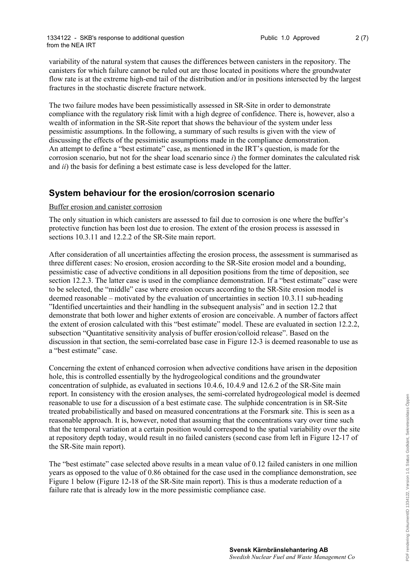variability of the natural system that causes the differences between canisters in the repository. The canisters for which failure cannot be ruled out are those located in positions where the groundwater flow rate is at the extreme high-end tail of the distribution and/or in positions intersected by the largest fractures in the stochastic discrete fracture network.

The two failure modes have been pessimistically assessed in SR-Site in order to demonstrate compliance with the regulatory risk limit with a high degree of confidence. There is, however, also a wealth of information in the SR-Site report that shows the behaviour of the system under less pessimistic assumptions. In the following, a summary of such results is given with the view of discussing the effects of the pessimistic assumptions made in the compliance demonstration. An attempt to define a "best estimate" case, as mentioned in the IRT's question, is made for the corrosion scenario, but not for the shear load scenario since *i*) the former dominates the calculated risk and *ii*) the basis for defining a best estimate case is less developed for the latter.

### **System behaviour for the erosion/corrosion scenario**

### Buffer erosion and canister corrosion

The only situation in which canisters are assessed to fail due to corrosion is one where the buffer's protective function has been lost due to erosion. The extent of the erosion process is assessed in sections 10.3.11 and 12.2.2 of the SR-Site main report.

After consideration of all uncertainties affecting the erosion process, the assessment is summarised as three different cases: No erosion, erosion according to the SR-Site erosion model and a bounding, pessimistic case of advective conditions in all deposition positions from the time of deposition, see section 12.2.3. The latter case is used in the compliance demonstration. If a "best estimate" case were to be selected, the "middle" case where erosion occurs according to the SR-Site erosion model is deemed reasonable – motivated by the evaluation of uncertainties in section 10.3.11 sub-heading "Identified uncertainties and their handling in the subsequent analysis" and in section 12.2 that demonstrate that both lower and higher extents of erosion are conceivable. A number of factors affect the extent of erosion calculated with this "best estimate" model. These are evaluated in section 12.2.2, subsection "Quantitative sensitivity analysis of buffer erosion/colloid release". Based on the discussion in that section, the semi-correlated base case in Figure 12-3 is deemed reasonable to use as a "best estimate" case.

Concerning the extent of enhanced corrosion when advective conditions have arisen in the deposition hole, this is controlled essentially by the hydrogeological conditions and the groundwater concentration of sulphide, as evaluated in sections 10.4.6, 10.4.9 and 12.6.2 of the SR-Site main report. In consistency with the erosion analyses, the semi-correlated hydrogeological model is deemed reasonable to use for a discussion of a best estimate case. The sulphide concentration is in SR-Site treated probabilistically and based on measured concentrations at the Forsmark site. This is seen as a reasonable approach. It is, however, noted that assuming that the concentrations vary over time such that the temporal variation at a certain position would correspond to the spatial variability over the site at repository depth today, would result in no failed canisters (second case from left in Figure 12-17 of the SR-Site main report).

The "best estimate" case selected above results in a mean value of 0.12 failed canisters in one million years as opposed to the value of 0.86 obtained for the case used in the compliance demonstration, see Figure 1 below (Figure 12-18 of the SR-Site main report). This is thus a moderate reduction of a failure rate that is already low in the more pessimistic compliance case.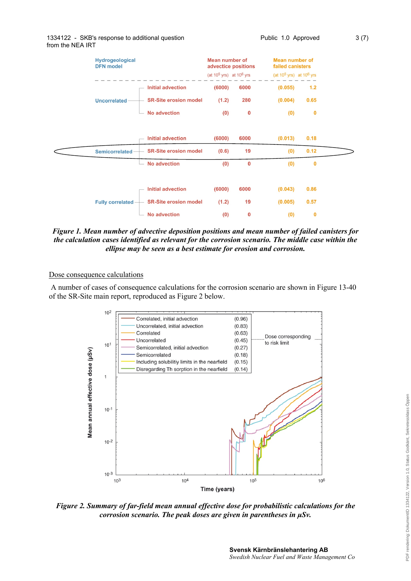| Hydrogeological<br><b>DFN</b> model |  |                              | <b>Mean number of</b><br>advectice positions |          |                               | <b>Mean number of</b><br>failed canisters |  |
|-------------------------------------|--|------------------------------|----------------------------------------------|----------|-------------------------------|-------------------------------------------|--|
|                                     |  |                              | (at $10^5$ yrs) at $10^6$ yrs                |          | (at $10^5$ yrs) at $10^6$ yrs |                                           |  |
|                                     |  | <b>Initial advection</b>     | (6000)                                       | 6000     | (0.055)                       | $1.2$                                     |  |
| <b>Uncorrelated</b>                 |  | <b>SR-Site erosion model</b> | (1.2)                                        | 280      | (0.004)                       | 0.65                                      |  |
|                                     |  | <b>No advection</b>          | (0)                                          | 0        | (0)                           | 0                                         |  |
|                                     |  |                              |                                              |          |                               |                                           |  |
|                                     |  | <b>Initial advection</b>     | (6000)                                       | 6000     | (0.013)                       | 0.18                                      |  |
| <b>Semicorrelated</b>               |  | <b>SR-Site erosion model</b> | (0.6)                                        | 19       | (0)                           | 0.12                                      |  |
|                                     |  | <b>No advection</b>          | (0)                                          | $\bf{0}$ | (0)                           | 0                                         |  |
|                                     |  |                              |                                              |          |                               |                                           |  |
|                                     |  | <b>Initial advection</b>     | (6000)                                       | 6000     | (0.043)                       | 0.86                                      |  |
| <b>Fully correlated -</b>           |  | <b>SR-Site erosion model</b> | (1.2)                                        | 19       | (0.005)                       | 0.57                                      |  |
|                                     |  | <b>No advection</b>          | (0)                                          | 0        | (0)                           | $\bf{0}$                                  |  |

*Figure 1. Mean number of advective deposition positions and mean number of failed canisters for the calculation cases identified as relevant for the corrosion scenario. The middle case within the ellipse may be seen as a best estimate for erosion and corrosion.* 

### Dose consequence calculations

A number of cases of consequence calculations for the corrosion scenario are shown in Figure 13-40 of the SR-Site main report, reproduced as Figure 2 below.



*Figure 2. Summary of far-field mean annual effective dose for probabilistic calculations for the corrosion scenario. The peak doses are given in parentheses in μSv.*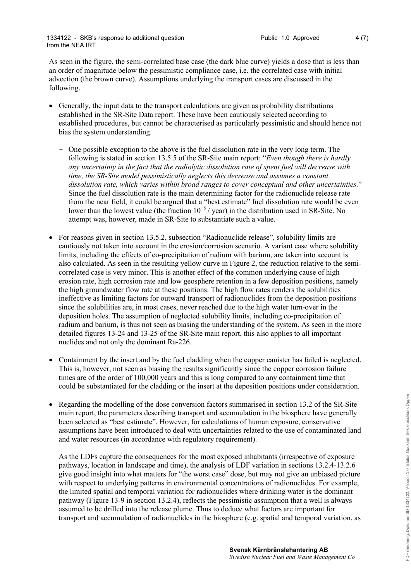As seen in the figure, the semi-correlated base case (the dark blue curve) yields a dose that is less than an order of magnitude below the pessimistic compliance case, i.e. the correlated case with initial advection (the brown curve). Assumptions underlying the transport cases are discussed in the following.

- Generally, the input data to the transport calculations are given as probability distributions established in the SR-Site Data report. These have been cautiously selected according to established procedures, but cannot be characterised as particularly pessimistic and should hence not bias the system understanding.
	- One possible exception to the above is the fuel dissolution rate in the very long term. The following is stated in section 13.5.5 of the SR-Site main report: "*Even though there is hardly any uncertainty in the fact that the radiolytic dissolution rate of spent fuel will decrease with time, the SR-Site model pessimistically neglects this decrease and assumes a constant dissolution rate, which varies within broad ranges to cover conceptual and other uncertainties.*" Since the fuel dissolution rate is the main determining factor for the radionuclide release rate from the near field, it could be argued that a "best estimate" fuel dissolution rate would be even lower than the lowest value (the fraction  $10^{-8}$  / year) in the distribution used in SR-Site. No attempt was, however, made in SR-Site to substantiate such a value.
- For reasons given in section 13.5.2, subsection "Radionuclide release", solubility limits are cautiously not taken into account in the erosion/corrosion scenario. A variant case where solubility limits, including the effects of co-precipitation of radium with barium, are taken into account is also calculated. As seen in the resulting yellow curve in Figure 2, the reduction relative to the semicorrelated case is very minor. This is another effect of the common underlying cause of high erosion rate, high corrosion rate and low geosphere retention in a few deposition positions, namely the high groundwater flow rate at these positions. The high flow rates renders the solubilities ineffective as limiting factors for outward transport of radionuclides from the deposition positions since the solubilities are, in most cases, never reached due to the high water turn-over in the deposition holes. The assumption of neglected solubility limits, including co-precipitation of radium and barium, is thus not seen as biasing the understanding of the system. As seen in the more detailed figures 13-24 and 13-25 of the SR-Site main report, this also applies to all important nuclides and not only the dominant Ra-226.
- Containment by the insert and by the fuel cladding when the copper canister has failed is neglected. This is, however, not seen as biasing the results significantly since the copper corrosion failure times are of the order of 100,000 years and this is long compared to any containment time that could be substantiated for the cladding or the insert at the deposition positions under consideration.
- Regarding the modelling of the dose conversion factors summarised in section 13.2 of the SR-Site main report, the parameters describing transport and accumulation in the biosphere have generally been selected as "best estimate". However, for calculations of human exposure, conservative assumptions have been introduced to deal with uncertainties related to the use of contaminated land and water resources (in accordance with regulatory requirement).

As the LDFs capture the consequences for the most exposed inhabitants (irrespective of exposure pathways, location in landscape and time), the analysis of LDF variation in sections 13.2.4-13.2.6 give good insight into what matters for "the worst case" dose, but may not give an unbiased picture with respect to underlying patterns in environmental concentrations of radionuclides. For example, the limited spatial and temporal variation for radionuclides where drinking water is the dominant pathway (Figure 13-9 in section 13.2.4), reflects the pessimistic assumption that a well is always assumed to be drilled into the release plume. Thus to deduce what factors are important for transport and accumulation of radionuclides in the biosphere (e.g. spatial and temporal variation, as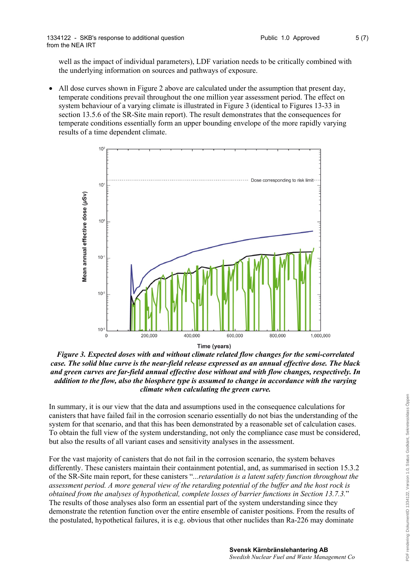well as the impact of individual parameters), LDF variation needs to be critically combined with the underlying information on sources and pathways of exposure.

 All dose curves shown in Figure 2 above are calculated under the assumption that present day, temperate conditions prevail throughout the one million year assessment period. The effect on system behaviour of a varying climate is illustrated in Figure 3 (identical to Figures 13-33 in section 13.5.6 of the SR-Site main report). The result demonstrates that the consequences for temperate conditions essentially form an upper bounding envelope of the more rapidly varying results of a time dependent climate.



*Figure 3. Expected doses with and without climate related flow changes for the semi-correlated case. The solid blue curve is the near-field release expressed as an annual effective dose. The black and green curves are far-field annual effective dose without and with flow changes, respectively. In addition to the flow, also the biosphere type is assumed to change in accordance with the varying climate when calculating the green curve.*

In summary, it is our view that the data and assumptions used in the consequence calculations for canisters that have failed fail in the corrosion scenario essentially do not bias the understanding of the system for that scenario, and that this has been demonstrated by a reasonable set of calculation cases. To obtain the full view of the system understanding, not only the compliance case must be considered, but also the results of all variant cases and sensitivity analyses in the assessment.

For the vast majority of canisters that do not fail in the corrosion scenario, the system behaves differently. These canisters maintain their containment potential, and, as summarised in section 15.3.2 of the SR-Site main report, for these canisters "*...retardation is a latent safety function throughout the assessment period. A more general view of the retarding potential of the buffer and the host rock is obtained from the analyses of hypothetical, complete losses of barrier functions in Section 13.7.3.*" The results of those analyses also form an essential part of the system understanding since they demonstrate the retention function over the entire ensemble of canister positions. From the results of the postulated, hypothetical failures, it is e.g. obvious that other nuclides than Ra-226 may dominate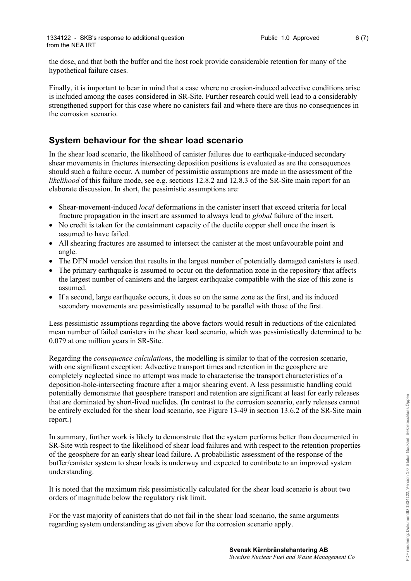the dose, and that both the buffer and the host rock provide considerable retention for many of the hypothetical failure cases.

Finally, it is important to bear in mind that a case where no erosion-induced advective conditions arise is included among the cases considered in SR-Site. Further research could well lead to a considerably strengthened support for this case where no canisters fail and where there are thus no consequences in the corrosion scenario.

### **System behaviour for the shear load scenario**

In the shear load scenario, the likelihood of canister failures due to earthquake-induced secondary shear movements in fractures intersecting deposition positions is evaluated as are the consequences should such a failure occur. A number of pessimistic assumptions are made in the assessment of the *likelihood* of this failure mode, see e.g. sections 12.8.2 and 12.8.3 of the SR-Site main report for an elaborate discussion. In short, the pessimistic assumptions are:

- Shear-movement-induced *local* deformations in the canister insert that exceed criteria for local fracture propagation in the insert are assumed to always lead to *global* failure of the insert.
- No credit is taken for the containment capacity of the ductile copper shell once the insert is assumed to have failed.
- All shearing fractures are assumed to intersect the canister at the most unfavourable point and angle.
- The DFN model version that results in the largest number of potentially damaged canisters is used.
- The primary earthquake is assumed to occur on the deformation zone in the repository that affects the largest number of canisters and the largest earthquake compatible with the size of this zone is assumed.
- If a second, large earthquake occurs, it does so on the same zone as the first, and its induced secondary movements are pessimistically assumed to be parallel with those of the first.

Less pessimistic assumptions regarding the above factors would result in reductions of the calculated mean number of failed canisters in the shear load scenario, which was pessimistically determined to be 0.079 at one million years in SR-Site.

Regarding the *consequence calculations*, the modelling is similar to that of the corrosion scenario, with one significant exception: Advective transport times and retention in the geosphere are completely neglected since no attempt was made to characterise the transport characteristics of a deposition-hole-intersecting fracture after a major shearing event. A less pessimistic handling could potentially demonstrate that geosphere transport and retention are significant at least for early releases that are dominated by short-lived nuclides. (In contrast to the corrosion scenario, early releases cannot be entirely excluded for the shear load scenario, see Figure 13-49 in section 13.6.2 of the SR-Site main report.)

In summary, further work is likely to demonstrate that the system performs better than documented in SR-Site with respect to the likelihood of shear load failures and with respect to the retention properties of the geosphere for an early shear load failure. A probabilistic assessment of the response of the buffer/canister system to shear loads is underway and expected to contribute to an improved system understanding.

It is noted that the maximum risk pessimistically calculated for the shear load scenario is about two orders of magnitude below the regulatory risk limit.

For the vast majority of canisters that do not fail in the shear load scenario, the same arguments regarding system understanding as given above for the corrosion scenario apply.